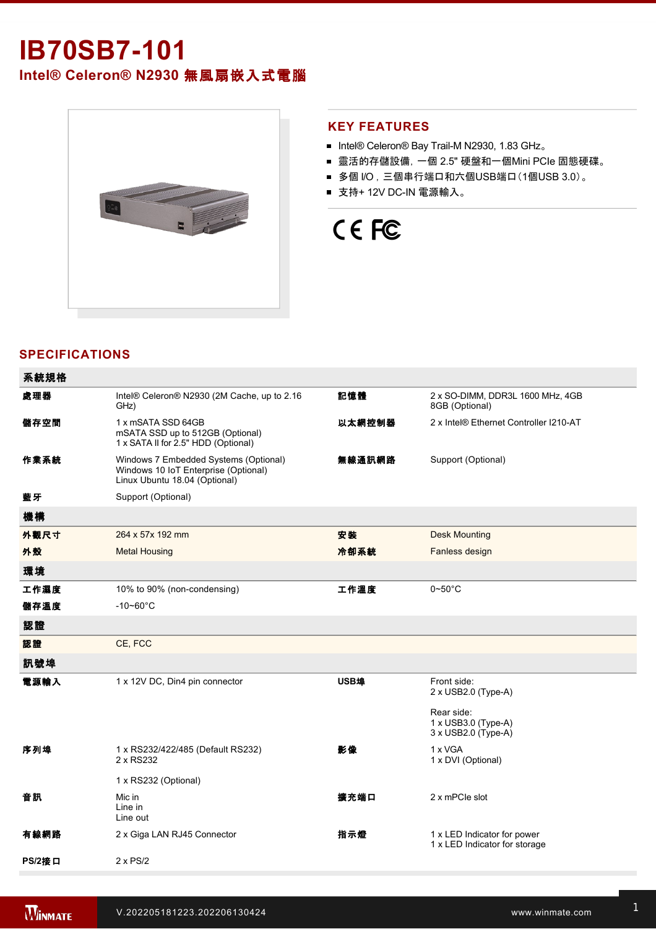## **IB70SB7101 Intel® Celeron® N2930** 無風扇嵌入式電腦



#### **KEY FEATURES**

- Intel® Celeron® Bay Trail-M N2930, 1.83 GHz。
- 靈活的存儲設備, 一個 2.5" 硬盤和一個Mini PCIe 固態硬碟。
- 多個 I/O, 三個串行端口和六個USB端口(1個USB 3.0)。
- 支持+ 12V DC-IN 電源輸入。

# CE FC

#### **SPECIFICATIONS**

| 系統規格   |                                                                                                                |        |                                                              |
|--------|----------------------------------------------------------------------------------------------------------------|--------|--------------------------------------------------------------|
| 處理器    | Intel® Celeron® N2930 (2M Cache, up to 2.16<br>GHz)                                                            | 記憶體    | 2 x SO-DIMM, DDR3L 1600 MHz, 4GB<br>8GB (Optional)           |
| 儲存空間   | 1 x mSATA SSD 64GB<br>mSATA SSD up to 512GB (Optional)<br>1 x SATA II for 2.5" HDD (Optional)                  | 以太網控制器 | 2 x Intel® Ethernet Controller I210-AT                       |
| 作業系統   | Windows 7 Embedded Systems (Optional)<br>Windows 10 IoT Enterprise (Optional)<br>Linux Ubuntu 18.04 (Optional) | 無線通訊網路 | Support (Optional)                                           |
| 藍牙     | Support (Optional)                                                                                             |        |                                                              |
| 機構     |                                                                                                                |        |                                                              |
| 外觀尺寸   | 264 x 57x 192 mm                                                                                               | 安装     | <b>Desk Mounting</b>                                         |
| 外殼     | <b>Metal Housing</b>                                                                                           | 冷卻系統   | Fanless design                                               |
| 環境     |                                                                                                                |        |                                                              |
| 工作濕度   | 10% to 90% (non-condensing)                                                                                    | 工作溫度   | $0\neg 50^\circ C$                                           |
| 儲存溫度   | $-10 - 60^{\circ}$ C                                                                                           |        |                                                              |
| 認證     |                                                                                                                |        |                                                              |
| 認證     | CE, FCC                                                                                                        |        |                                                              |
| 訊號埠    |                                                                                                                |        |                                                              |
| 電源輸入   | 1 x 12V DC, Din4 pin connector                                                                                 | USB埠   | Front side:<br>2 x USB2.0 (Type-A)                           |
|        |                                                                                                                |        | Rear side:<br>1 x USB3.0 (Type-A)<br>3 x USB2.0 (Type-A)     |
| 序列埠    | 1 x RS232/422/485 (Default RS232)<br>2 x RS232                                                                 | 影像     | 1 x VGA<br>1 x DVI (Optional)                                |
|        | 1 x RS232 (Optional)                                                                                           |        |                                                              |
| 音訊     | Mic in<br>Line in<br>Line out                                                                                  | 擴充端口   | 2 x mPCle slot                                               |
| 有線網路   | 2 x Giga LAN RJ45 Connector                                                                                    | 指示燈    | 1 x LED Indicator for power<br>1 x LED Indicator for storage |
| PS/2接口 | $2 \times PS/2$                                                                                                |        |                                                              |

控制

配件